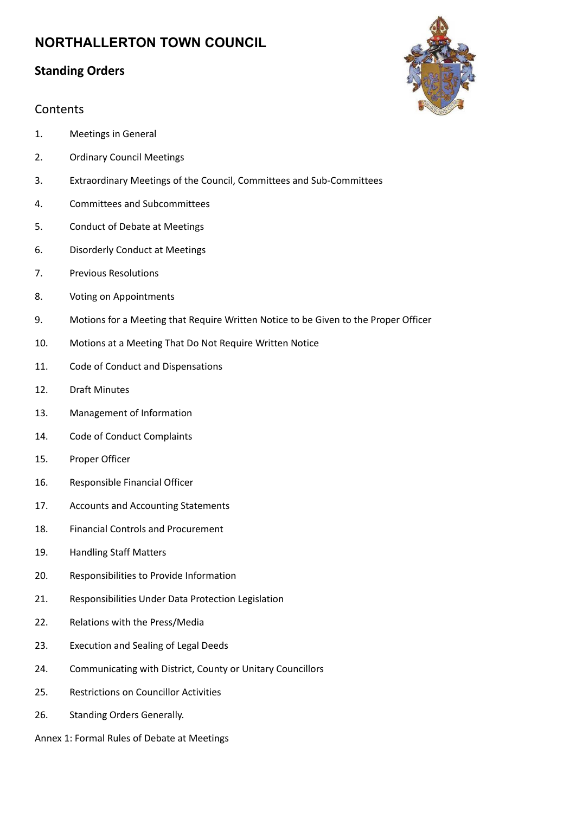## **Standing Orders**

### **Contents**

- 1. Meetings in General
- 2. Ordinary Council Meetings
- 3. Extraordinary Meetings of the Council, Committees and Sub-Committees
- 4. Committees and Subcommittees
- 5. Conduct of Debate at Meetings
- 6. Disorderly Conduct at Meetings
- 7. Previous Resolutions
- 8. Voting on Appointments
- 9. Motions for a Meeting that Require Written Notice to be Given to the Proper Officer
- 10. Motions at a Meeting That Do Not Require Written Notice
- 11. Code of Conduct and Dispensations
- 12. Draft Minutes
- 13. Management of Information
- 14. Code of Conduct Complaints
- 15. Proper Officer
- 16. Responsible Financial Officer
- 17. Accounts and Accounting Statements
- 18. Financial Controls and Procurement
- 19. Handling Staff Matters
- 20. Responsibilities to Provide Information
- 21. Responsibilities Under Data Protection Legislation
- 22. Relations with the Press/Media
- 23. Execution and Sealing of Legal Deeds
- 24. Communicating with District, County or Unitary Councillors
- 25. Restrictions on Councillor Activities
- 26. Standing Orders Generally.

Annex 1: Formal Rules of Debate at Meetings

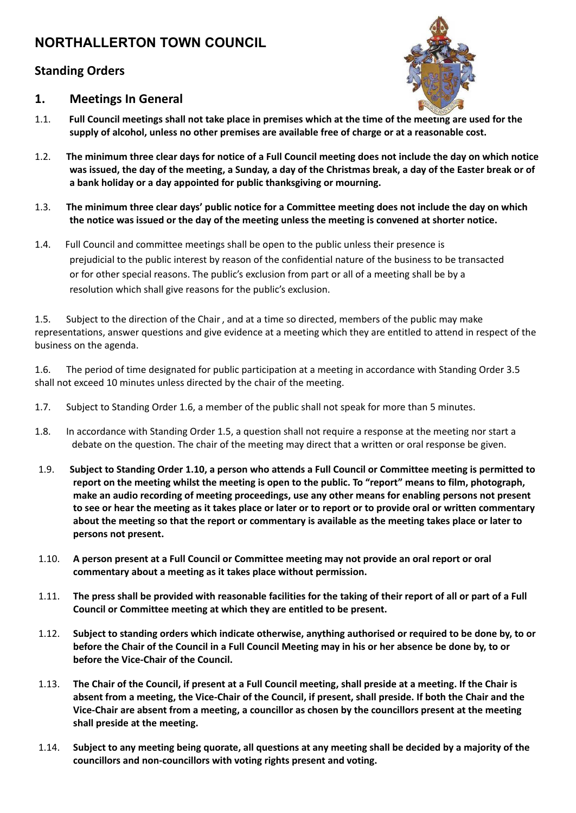## **Standing Orders**



#### **1. Meetings In General**

- 1.1. Full Council meetings shall not take place in premises which at the time of the meeting are used for the **supply of alcohol, unless no other premises are available free of charge or at a reasonable cost.**
- 1.2. The minimum three clear days for notice of a Full Council meeting does not include the day on which notice was issued, the day of the meeting, a Sunday, a day of the Christmas break, a day of the Easter break or of **a bank holiday or a day appointed for public thanksgiving or mourning.**
- 1.3. The minimum three clear days' public notice for a Committee meeting does not include the day on which **the notice was issued or the day of the meeting unless the meeting is convened at shorter notice.**
- 1.4. Full Council and committee meetings shall be open to the public unless their presence is prejudicial to the public interest by reason of the confidential nature of the business to be transacted or for other special reasons. The public's exclusion from part or all of a meeting shall be by a resolution which shall give reasons for the public's exclusion.

1.5. Subject to the direction of the Chair, and at a time so directed, members of the public may make representations, answer questions and give evidence at a meeting which they are entitled to attend in respect of the business on the agenda.

1.6. The period of time designated for public participation at a meeting in accordance with Standing Order 3.5 shall not exceed 10 minutes unless directed by the chair of the meeting.

- 1.7. Subject to Standing Order 1.6, a member of the public shall not speak for more than 5 minutes.
- 1.8. In accordance with Standing Order 1.5, a question shall not require a response at the meeting nor start a debate on the question. The chair of the meeting may direct that a written or oral response be given.
- 1.9. Subject to Standing Order 1.10, a person who attends a Full Council or Committee meeting is permitted to report on the meeting whilst the meeting is open to the public. To "report" means to film, photograph, **make an audio recording of meeting proceedings, use any other means for enabling persons not present** to see or hear the meeting as it takes place or later or to report or to provide oral or written commentary about the meeting so that the report or commentary is available as the meeting takes place or later to **persons not present.**
- 1.10. A person present at a Full Council or Committee meeting may not provide an oral report or oral **commentary about a meeting as it takes place without permission.**
- 1.11. The press shall be provided with reasonable facilities for the taking of their report of all or part of a Full **Council or Committee meeting at which they are entitled to be present.**
- 1.12. Subject to standing orders which indicate otherwise, anything authorised or required to be done by, to or before the Chair of the Council in a Full Council Meeting may in his or her absence be done by, to or **before the Vice-Chair of the Council.**
- 1.13. The Chair of the Council, if present at a Full Council meeting, shall preside at a meeting. If the Chair is absent from a meeting, the Vice-Chair of the Council, if present, shall preside. If both the Chair and the **Vice-Chair are absent from a meeting, a councillor as chosen by the councillors present at the meeting shall preside at the meeting.**
- 1.14. Subject to any meeting being quorate, all questions at any meeting shall be decided by a majority of the **councillors and non-councillors with voting rights present and voting.**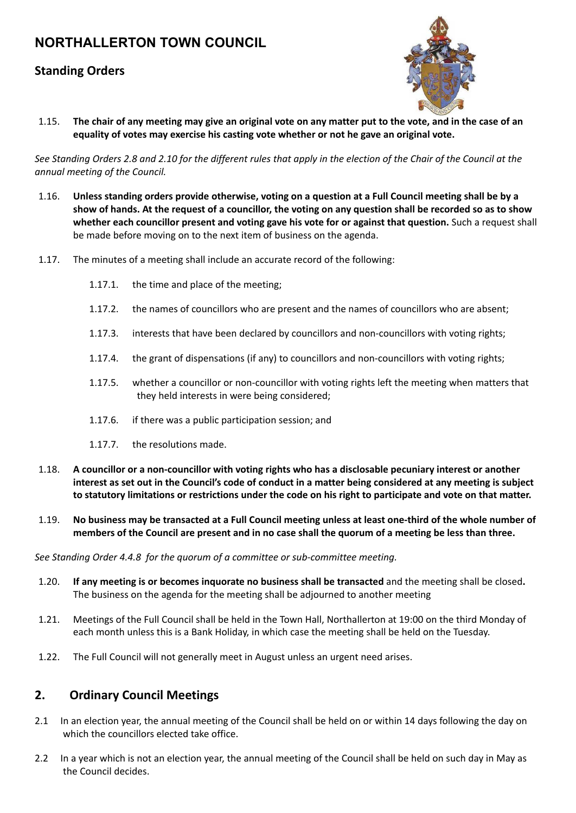### **Standing Orders**



1.15. The chair of any meeting may give an original vote on any matter put to the vote, and in the case of an **equality of votes may exercise his casting vote whether or not he gave an original vote.**

See Standing Orders 2.8 and 2.10 for the different rules that apply in the election of the Chair of the Council at the *annual meeting of the Council.*

- 1.16. Unless standing orders provide otherwise, voting on a question at a Full Council meeting shall be by a show of hands. At the request of a councillor, the voting on any question shall be recorded so as to show **whether each councillor present and voting gave his vote for or against that question.** Such a request shall be made before moving on to the next item of business on the agenda.
- 1.17. The minutes of a meeting shall include an accurate record of the following:
	- 1.17.1. the time and place of the meeting;
	- 1.17.2. the names of councillors who are present and the names of councillors who are absent;
	- 1.17.3. interests that have been declared by councillors and non-councillors with voting rights;
	- 1.17.4. the grant of dispensations (if any) to councillors and non-councillors with voting rights;
	- 1.17.5. whether a councillor or non-councillor with voting rights left the meeting when matters that they held interests in were being considered;
	- 1.17.6. if there was a public participation session; and
	- 1.17.7. the resolutions made.
- 1.18. **A councillor or a non-councillor with voting rights who has a disclosable pecuniary interest or another** interest as set out in the Council's code of conduct in a matter being considered at any meeting is subject to statutory limitations or restrictions under the code on his right to participate and vote on that matter.
- 1.19. No business may be transacted at a Full Council meeting unless at least one-third of the whole number of members of the Council are present and in no case shall the quorum of a meeting be less than three.

*See Standing Order 4.4.8 for the quorum of a committee or sub-committee meeting.*

- 1.20. **If any meeting is or becomes inquorate no business shall be transacted** and the meeting shall be closed**.** The business on the agenda for the meeting shall be adjourned to another meeting
- 1.21. Meetings of the Full Council shall be held in the Town Hall, Northallerton at 19:00 on the third Monday of each month unless this is a Bank Holiday, in which case the meeting shall be held on the Tuesday.
- 1.22. The Full Council will not generally meet in August unless an urgent need arises.

#### **2. Ordinary Council Meetings**

- 2.1 In an election year, the annual meeting of the Council shall be held on or within 14 days following the day on which the councillors elected take office.
- 2.2 In a year which is not an election year, the annual meeting of the Council shall be held on such day in May as the Council decides.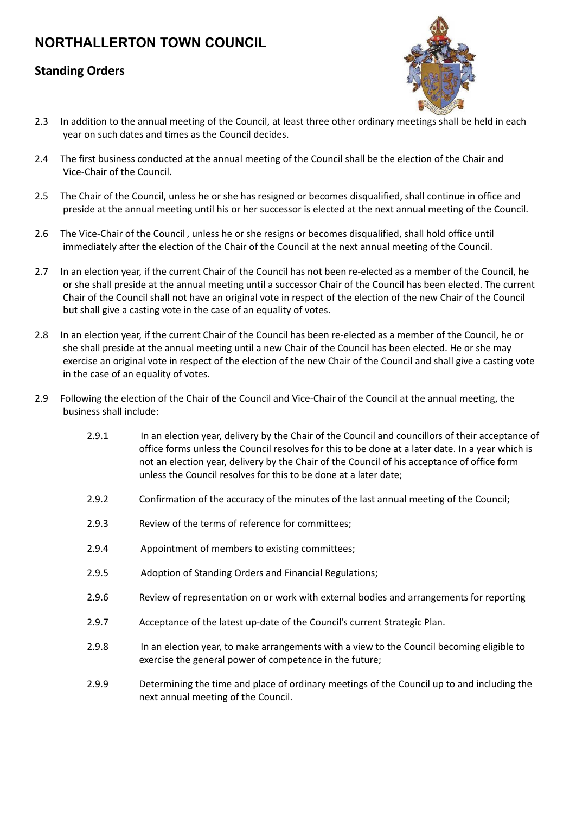### **Standing Orders**



- 2.3 In addition to the annual meeting of the Council, at least three other ordinary meetings shall be held in each year on such dates and times as the Council decides.
- 2.4 The first business conducted at the annual meeting of the Council shall be the election of the Chair and Vice-Chair of the Council.
- 2.5 The Chair of the Council, unless he or she has resigned or becomes disqualified, shall continue in office and preside at the annual meeting until his or her successor is elected at the next annual meeting of the Council.
- 2.6 The Vice-Chair of the Council , unless he or she resigns or becomes disqualified, shall hold office until immediately after the election of the Chair of the Council at the next annual meeting of the Council.
- 2.7 In an election year, if the current Chair of the Council has not been re-elected as a member of the Council, he or she shall preside at the annual meeting until a successor Chair of the Council has been elected. The current Chair of the Council shall not have an original vote in respect of the election of the new Chair of the Council but shall give a casting vote in the case of an equality of votes.
- 2.8 In an election year, if the current Chair of the Council has been re-elected as a member of the Council, he or she shall preside at the annual meeting until a new Chair of the Council has been elected. He or she may exercise an original vote in respect of the election of the new Chair of the Council and shall give a casting vote in the case of an equality of votes.
- 2.9 Following the election of the Chair of the Council and Vice-Chair of the Council at the annual meeting, the business shall include:
	- 2.9.1 In an election year, delivery by the Chair of the Council and councillors of their acceptance of office forms unless the Council resolves for this to be done at a later date. In a year which is not an election year, delivery by the Chair of the Council of his acceptance of office form unless the Council resolves for this to be done at a later date;
	- 2.9.2 Confirmation of the accuracy of the minutes of the last annual meeting of the Council;
	- 2.9.3 Review of the terms of reference for committees;
	- 2.9.4 Appointment of members to existing committees;
	- 2.9.5 Adoption of Standing Orders and Financial Regulations;
	- 2.9.6 Review of representation on or work with external bodies and arrangements for reporting
	- 2.9.7 Acceptance of the latest up-date of the Council's current Strategic Plan.
	- 2.9.8 In an election year, to make arrangements with a view to the Council becoming eligible to exercise the general power of competence in the future;
	- 2.9.9 Determining the time and place of ordinary meetings of the Council up to and including the next annual meeting of the Council.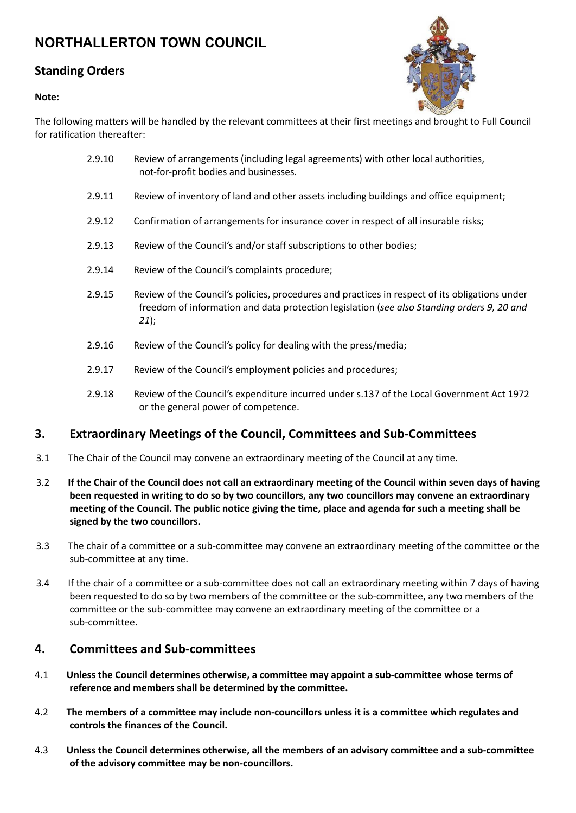### **Standing Orders**

#### **Note:**



The following matters will be handled by the relevant committees at their first meetings and brought to Full Council for ratification thereafter:

- 2.9.10 Review of arrangements (including legal agreements) with other local authorities, not-for-profit bodies and businesses.
- 2.9.11 Review of inventory of land and other assets including buildings and office equipment;
- 2.9.12 Confirmation of arrangements for insurance cover in respect of all insurable risks;
- 2.9.13 Review of the Council's and/or staff subscriptions to other bodies;
- 2.9.14 Review of the Council's complaints procedure;
- 2.9.15 Review of the Council's policies, procedures and practices in respect of its obligations under freedom of information and data protection legislation (*see also Standing orders 9, 20 and 21*);
- 2.9.16 Review of the Council's policy for dealing with the press/media;
- 2.9.17 Review of the Council's employment policies and procedures;
- 2.9.18 Review of the Council's expenditure incurred under s.137 of the Local Government Act 1972 or the general power of competence.

#### **3. Extraordinary Meetings of the Council, Committees and Sub-Committees**

- 3.1 The Chair of the Council may convene an extraordinary meeting of the Council at any time.
- 3.2 If the Chair of the Council does not call an extraordinary meeting of the Council within seven days of having **been requested in writing to do so by two councillors, any two councillors may convene an extraordinary** meeting of the Council. The public notice giving the time, place and agenda for such a meeting shall be **signed by the two councillors.**
- 3.3 The chair of a committee or a sub-committee may convene an extraordinary meeting of the committee or the sub-committee at any time.
- 3.4 If the chair of a committee or a sub-committee does not call an extraordinary meeting within 7 days of having been requested to do so by two members of the committee or the sub-committee, any two members of the committee or the sub-committee may convene an extraordinary meeting of the committee or a sub-committee.

#### **4. Committees and Sub-committees**

- 4.1 **Unless the Council determines otherwise, a committee may appoint a sub-committee whose terms of reference and members shall be determined by the committee.**
- 4.2 **The members of a committee may include non-councillors unless it is a committee which regulates and controls the finances of the Council.**
- 4.3 **Unless the Council determines otherwise, all the members of an advisory committee and a sub-committee of the advisory committee may be non-councillors.**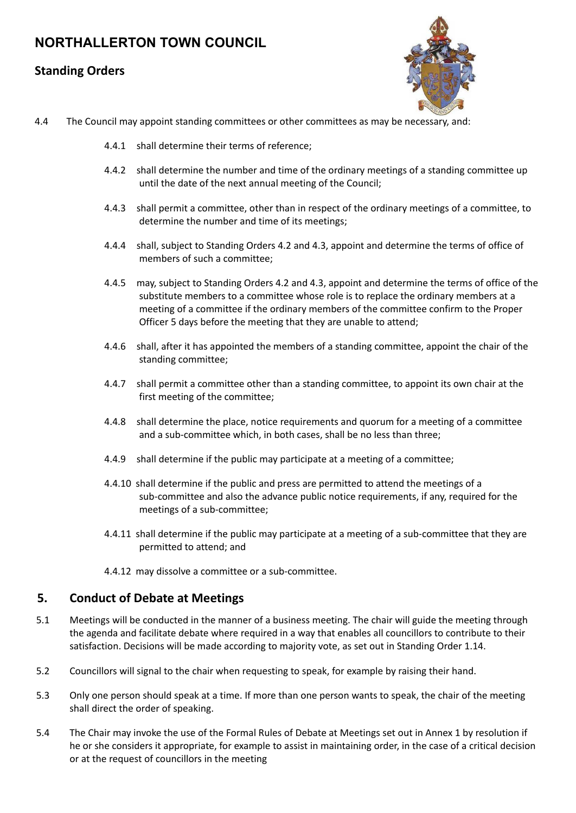#### **Standing Orders**



- 4.4 The Council may appoint standing committees or other committees as may be necessary, and:
	- 4.4.1 shall determine their terms of reference;
	- 4.4.2 shall determine the number and time of the ordinary meetings of a standing committee up until the date of the next annual meeting of the Council;
	- 4.4.3 shall permit a committee, other than in respect of the ordinary meetings of a committee, to determine the number and time of its meetings;
	- 4.4.4 shall, subject to Standing Orders 4.2 and 4.3, appoint and determine the terms of office of members of such a committee;
	- 4.4.5 may, subject to Standing Orders 4.2 and 4.3, appoint and determine the terms of office of the substitute members to a committee whose role is to replace the ordinary members at a meeting of a committee if the ordinary members of the committee confirm to the Proper Officer 5 days before the meeting that they are unable to attend;
	- 4.4.6 shall, after it has appointed the members of a standing committee, appoint the chair of the standing committee;
	- 4.4.7 shall permit a committee other than a standing committee, to appoint its own chair at the first meeting of the committee;
	- 4.4.8 shall determine the place, notice requirements and quorum for a meeting of a committee and a sub-committee which, in both cases, shall be no less than three;
	- 4.4.9 shall determine if the public may participate at a meeting of a committee;
	- 4.4.10 shall determine if the public and press are permitted to attend the meetings of a sub-committee and also the advance public notice requirements, if any, required for the meetings of a sub-committee;
	- 4.4.11 shall determine if the public may participate at a meeting of a sub-committee that they are permitted to attend; and
	- 4.4.12 may dissolve a committee or a sub-committee.

#### **5. Conduct of Debate at Meetings**

- 5.1 Meetings will be conducted in the manner of a business meeting. The chair will guide the meeting through the agenda and facilitate debate where required in a way that enables all councillors to contribute to their satisfaction. Decisions will be made according to majority vote, as set out in Standing Order 1.14.
- 5.2 Councillors will signal to the chair when requesting to speak, for example by raising their hand.
- 5.3 Only one person should speak at a time. If more than one person wants to speak, the chair of the meeting shall direct the order of speaking.
- 5.4 The Chair may invoke the use of the Formal Rules of Debate at Meetings set out in Annex 1 by resolution if he or she considers it appropriate, for example to assist in maintaining order, in the case of a critical decision or at the request of councillors in the meeting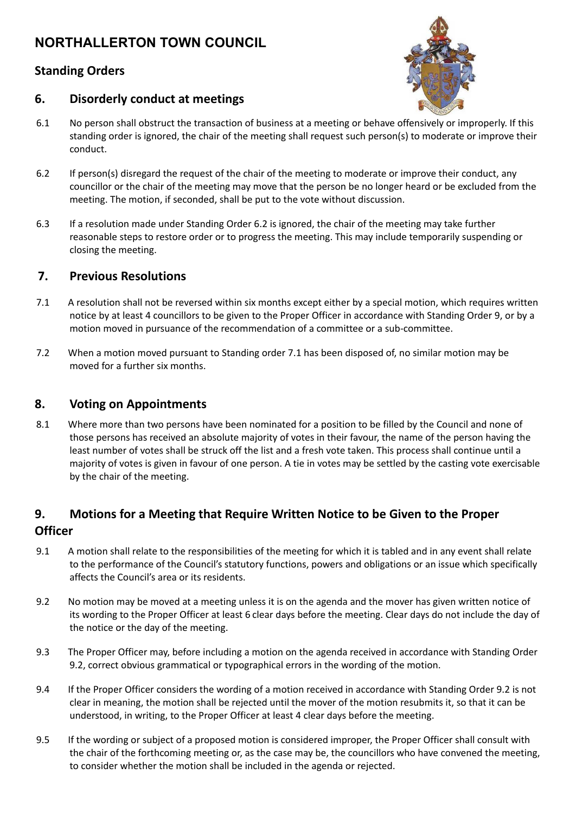## **Standing Orders**



#### **6. Disorderly conduct at meetings**

- 6.1 No person shall obstruct the transaction of business at a meeting or behave offensively or improperly. If this standing order is ignored, the chair of the meeting shall request such person(s) to moderate or improve their conduct.
- 6.2 If person(s) disregard the request of the chair of the meeting to moderate or improve their conduct, any councillor or the chair of the meeting may move that the person be no longer heard or be excluded from the meeting. The motion, if seconded, shall be put to the vote without discussion.
- 6.3 If a resolution made under Standing Order 6.2 is ignored, the chair of the meeting may take further reasonable steps to restore order or to progress the meeting. This may include temporarily suspending or closing the meeting.

## **7. Previous Resolutions**

- 7.1 A resolution shall not be reversed within six months except either by a special motion, which requires written notice by at least 4 councillors to be given to the Proper Officer in accordance with Standing Order 9, or by a motion moved in pursuance of the recommendation of a committee or a sub-committee.
- 7.2 When a motion moved pursuant to Standing order 7.1 has been disposed of, no similar motion may be moved for a further six months.

## **8. Voting on Appointments**

8.1 Where more than two persons have been nominated for a position to be filled by the Council and none of those persons has received an absolute majority of votes in their favour, the name of the person having the least number of votes shall be struck off the list and a fresh vote taken. This process shall continue until a majority of votes is given in favour of one person. A tie in votes may be settled by the casting vote exercisable by the chair of the meeting.

## **9. Motions for a Meeting that Require Written Notice to be Given to the Proper Officer**

- 9.1 A motion shall relate to the responsibilities of the meeting for which it is tabled and in any event shall relate to the performance of the Council's statutory functions, powers and obligations or an issue which specifically affects the Council's area or its residents.
- 9.2 No motion may be moved at a meeting unless it is on the agenda and the mover has given written notice of its wording to the Proper Officer at least 6 clear days before the meeting. Clear days do not include the day of the notice or the day of the meeting.
- 9.3 The Proper Officer may, before including a motion on the agenda received in accordance with Standing Order 9.2, correct obvious grammatical or typographical errors in the wording of the motion.
- 9.4 If the Proper Officer considers the wording of a motion received in accordance with Standing Order 9.2 is not clear in meaning, the motion shall be rejected until the mover of the motion resubmits it, so that it can be understood, in writing, to the Proper Officer at least 4 clear days before the meeting.
- 9.5 If the wording or subject of a proposed motion is considered improper, the Proper Officer shall consult with the chair of the forthcoming meeting or, as the case may be, the councillors who have convened the meeting, to consider whether the motion shall be included in the agenda or rejected.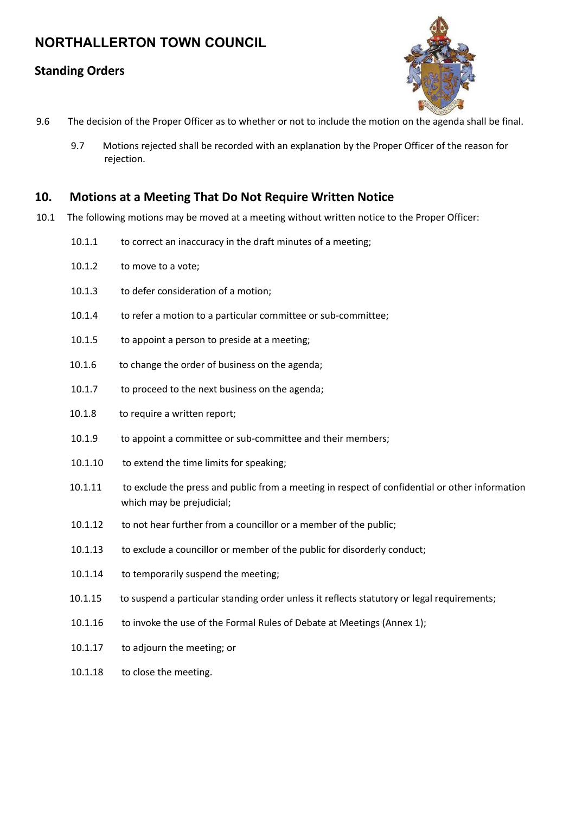### **Standing Orders**



- 9.6 The decision of the Proper Officer as to whether or not to include the motion on the agenda shall be final.
	- 9.7 Motions rejected shall be recorded with an explanation by the Proper Officer of the reason for rejection.

#### **10. Motions at a Meeting That Do Not Require Written Notice**

- 10.1 The following motions may be moved at a meeting without written notice to the Proper Officer:
	- 10.1.1 to correct an inaccuracy in the draft minutes of a meeting;
	- 10.1.2 to move to a vote;
	- 10.1.3 to defer consideration of a motion;
	- 10.1.4 to refer a motion to a particular committee or sub-committee;
	- 10.1.5 to appoint a person to preside at a meeting;
	- 10.1.6 to change the order of business on the agenda;
	- 10.1.7 to proceed to the next business on the agenda;
	- 10.1.8 to require a written report;
	- 10.1.9 to appoint a committee or sub-committee and their members;
	- 10.1.10 to extend the time limits for speaking;
	- 10.1.11 to exclude the press and public from a meeting in respect of confidential or other information which may be prejudicial;
	- 10.1.12 to not hear further from a councillor or a member of the public;
	- 10.1.13 to exclude a councillor or member of the public for disorderly conduct;
	- 10.1.14 to temporarily suspend the meeting;
	- 10.1.15 to suspend a particular standing order unless it reflects statutory or legal requirements;
	- 10.1.16 to invoke the use of the Formal Rules of Debate at Meetings (Annex 1);
	- 10.1.17 to adjourn the meeting; or
	- 10.1.18 to close the meeting.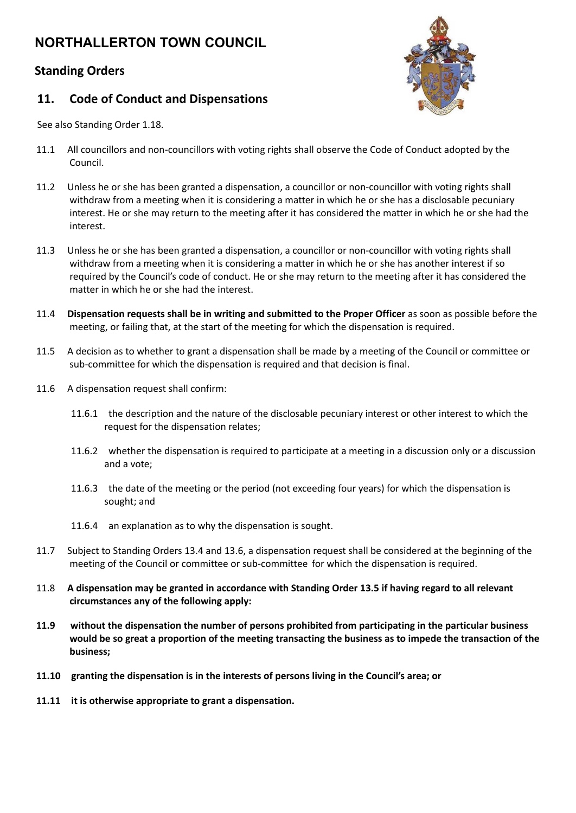## **Standing Orders**

#### **11. Code of Conduct and Dispensations**



See also Standing Order 1.18.

- 11.1 All councillors and non-councillors with voting rights shall observe the Code of Conduct adopted by the Council.
- 11.2 Unless he or she has been granted a dispensation, a councillor or non-councillor with voting rights shall withdraw from a meeting when it is considering a matter in which he or she has a disclosable pecuniary interest. He or she may return to the meeting after it has considered the matter in which he or she had the interest.
- 11.3 Unless he or she has been granted a dispensation, a councillor or non-councillor with voting rights shall withdraw from a meeting when it is considering a matter in which he or she has another interest if so required by the Council's code of conduct. He or she may return to the meeting after it has considered the matter in which he or she had the interest.
- 11.4 **Dispensation requests shall be in writing and submitted to the Proper Officer** as soon as possible before the meeting, or failing that, at the start of the meeting for which the dispensation is required.
- 11.5 A decision as to whether to grant a dispensation shall be made by a meeting of the Council or committee or sub-committee for which the dispensation is required and that decision is final.
- 11.6 A dispensation request shall confirm:
	- 11.6.1 the description and the nature of the disclosable pecuniary interest or other interest to which the request for the dispensation relates;
	- 11.6.2 whether the dispensation is required to participate at a meeting in a discussion only or a discussion and a vote;
	- 11.6.3 the date of the meeting or the period (not exceeding four years) for which the dispensation is sought; and
	- 11.6.4 an explanation as to why the dispensation is sought.
- 11.7 Subject to Standing Orders 13.4 and 13.6, a dispensation request shall be considered at the beginning of the meeting of the Council or committee or sub-committee for which the dispensation is required.
- 11.8 A dispensation may be granted in accordance with Standing Order 13.5 if having regard to all relevant **circumstances any of the following apply:**
- **11.9 without the dispensation the number of persons prohibited from participating in the particular business** would be so great a proportion of the meeting transacting the business as to impede the transaction of the **business;**
- **11.10 granting the dispensation is in the interests of persons living in the Council's area; or**
- **11.11 it is otherwise appropriate to grant a dispensation.**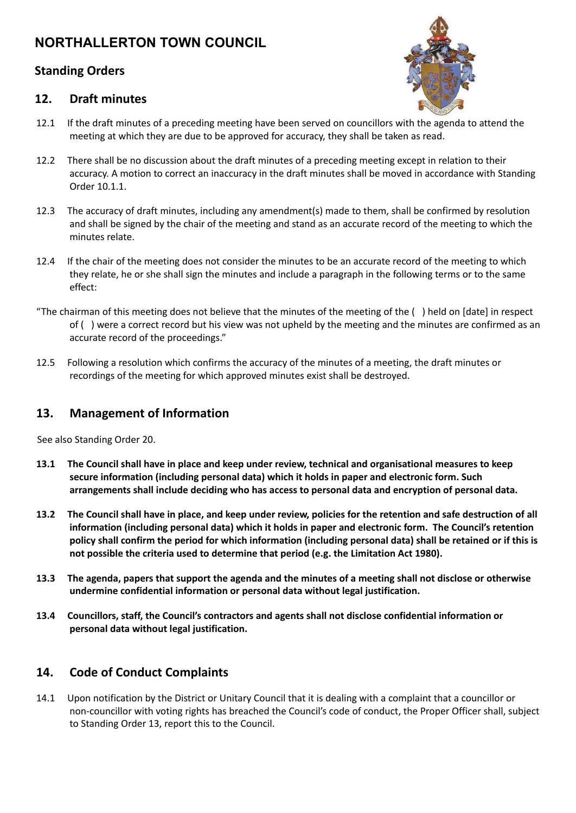## **Standing Orders**

#### **12. Draft minutes**



- 12.1 If the draft minutes of a preceding meeting have been served on councillors with the agenda to attend the meeting at which they are due to be approved for accuracy, they shall be taken as read.
- 12.2 There shall be no discussion about the draft minutes of a preceding meeting except in relation to their accuracy. A motion to correct an inaccuracy in the draft minutes shall be moved in accordance with Standing Order 10.1.1.
- 12.3 The accuracy of draft minutes, including any amendment(s) made to them, shall be confirmed by resolution and shall be signed by the chair of the meeting and stand as an accurate record of the meeting to which the minutes relate.
- 12.4 If the chair of the meeting does not consider the minutes to be an accurate record of the meeting to which they relate, he or she shall sign the minutes and include a paragraph in the following terms or to the same effect:
- "The chairman of this meeting does not believe that the minutes of the meeting of the ( ) held on [date] in respect of ( ) were a correct record but his view was not upheld by the meeting and the minutes are confirmed as an accurate record of the proceedings."
- 12.5 Following a resolution which confirms the accuracy of the minutes of a meeting, the draft minutes or recordings of the meeting for which approved minutes exist shall be destroyed.

## **13. Management of Information**

See also Standing Order 20.

- **13.1 The Council shall have in place and keep under review, technical and organisational measures to keep secure information (including personal data) which it holds in paper and electronic form. Such arrangements shall include deciding who has access to personal data and encryption of personal data.**
- 13.2 The Council shall have in place, and keep under review, policies for the retention and safe destruction of all **information (including personal data) which it holds in paper and electronic form. The Council's retention** policy shall confirm the period for which information (including personal data) shall be retained or if this is **not possible the criteria used to determine that period (e.g. the Limitation Act 1980).**
- 13.3 The agenda, papers that support the agenda and the minutes of a meeting shall not disclose or otherwise **undermine confidential information or personal data without legal justification.**
- **13.4 Councillors, staff, the Council's contractors and agents shall not disclose confidential information or personal data without legal justification.**

## **14. Code of Conduct Complaints**

14.1 Upon notification by the District or Unitary Council that it is dealing with a complaint that a councillor or non-councillor with voting rights has breached the Council's code of conduct, the Proper Officer shall, subject to Standing Order 13, report this to the Council.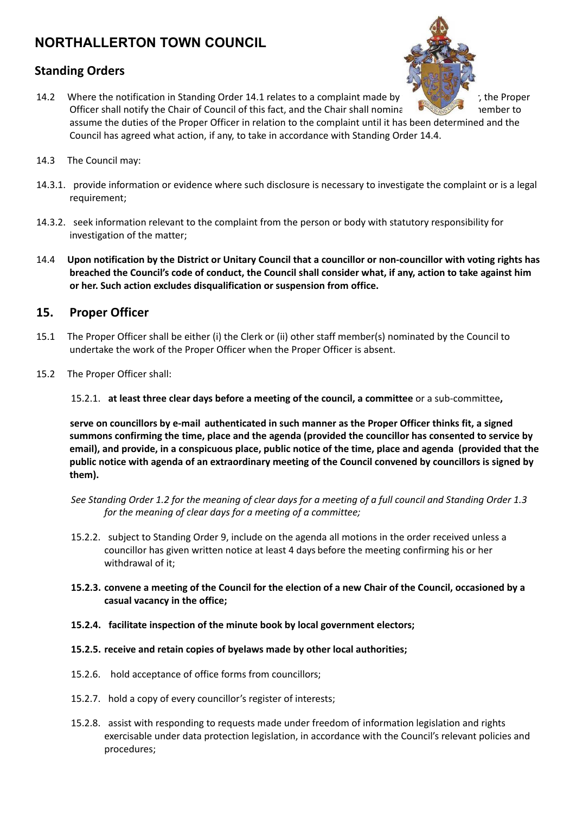### **Standing Orders**



Officer shall notify the Chair of Council of this fact, and the Chair shall nominate and member to assume the duties of the Proper Officer in relation to the complaint until it has been determined and the Council has agreed what action, if any, to take in accordance with Standing Order 14.4.

- 14.3 The Council may:
- 14.3.1. provide information or evidence where such disclosure is necessary to investigate the complaint or is a legal requirement;
- 14.3.2. seek information relevant to the complaint from the person or body with statutory responsibility for investigation of the matter;
- 14.4 Upon notification by the District or Unitary Council that a councillor or non-councillor with voting rights has breached the Council's code of conduct, the Council shall consider what, if any, action to take against him **or her. Such action excludes disqualification or suspension from office.**

#### **15. Proper Officer**

- 15.1 The Proper Officer shall be either (i) the Clerk or (ii) other staff member(s) nominated by the Council to undertake the work of the Proper Officer when the Proper Officer is absent.
- 15.2 The Proper Officer shall:

15.2.1. **at least three clear days before a meeting of the council, a committee** or a sub-committee**,**

**serve on councillors by e-mail authenticated in such manner as the Proper Officer thinks fit, a signed summons confirming the time, place and the agenda (provided the councillor has consented to service by** email), and provide, in a conspicuous place, public notice of the time, place and agenda (provided that the **public notice with agenda of an extraordinary meeting of the Council convened by councillors is signed by them).**

See Standing Order 1.2 for the meaning of clear days for a meeting of a full council and Standing Order 1.3 *for the meaning of clear days for a meeting of a committee;*

- 15.2.2. subject to Standing Order 9, include on the agenda all motions in the order received unless a councillor has given written notice at least 4 days before the meeting confirming his or her withdrawal of it;
- 15.2.3, convene a meeting of the Council for the election of a new Chair of the Council, occasioned by a **casual vacancy in the office;**
- **15.2.4. facilitate inspection of the minute book by local government electors;**
- **15.2.5. receive and retain copies of byelaws made by other local authorities;**
- 15.2.6. hold acceptance of office forms from councillors;
- 15.2.7. hold a copy of every councillor's register of interests;
- 15.2.8. assist with responding to requests made under freedom of information legislation and rights exercisable under data protection legislation, in accordance with the Council's relevant policies and procedures;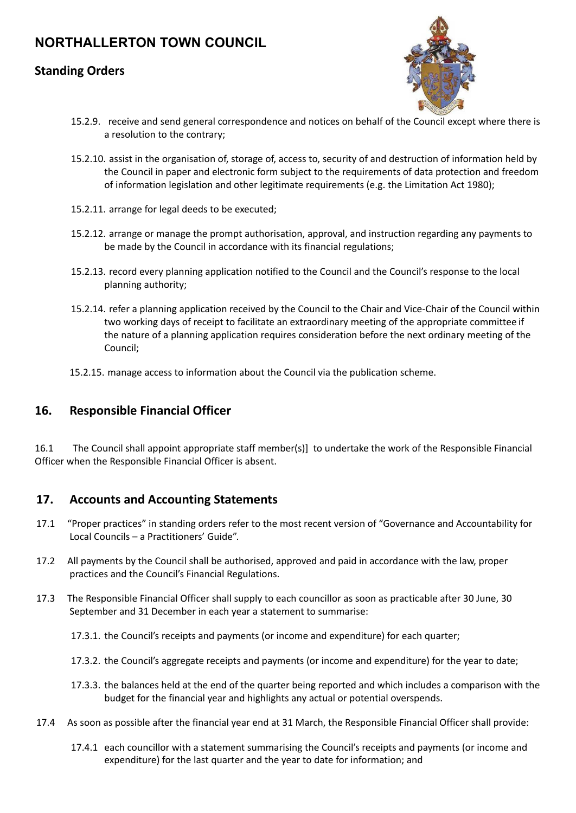### **Standing Orders**



- 15.2.9. receive and send general correspondence and notices on behalf of the Council except where there is a resolution to the contrary;
- 15.2.10. assist in the organisation of, storage of, access to, security of and destruction of information held by the Council in paper and electronic form subject to the requirements of data protection and freedom of information legislation and other legitimate requirements (e.g. the Limitation Act 1980);
- 15.2.11. arrange for legal deeds to be executed;
- 15.2.12. arrange or manage the prompt authorisation, approval, and instruction regarding any payments to be made by the Council in accordance with its financial regulations;
- 15.2.13. record every planning application notified to the Council and the Council's response to the local planning authority;
- 15.2.14. refer a planning application received by the Council to the Chair and Vice-Chair of the Council within two working days of receipt to facilitate an extraordinary meeting of the appropriate committee if the nature of a planning application requires consideration before the next ordinary meeting of the Council;
- 15.2.15. manage access to information about the Council via the publication scheme.

## **16. Responsible Financial Officer**

16.1 The Council shall appoint appropriate staff member(s)] to undertake the work of the Responsible Financial Officer when the Responsible Financial Officer is absent.

#### **17. Accounts and Accounting Statements**

- 17.1 "Proper practices" in standing orders refer to the most recent version of "Governance and Accountability for Local Councils – a Practitioners' Guide".
- 17.2 All payments by the Council shall be authorised, approved and paid in accordance with the law, proper practices and the Council's Financial Regulations.
- 17.3 The Responsible Financial Officer shall supply to each councillor as soon as practicable after 30 June, 30 September and 31 December in each year a statement to summarise:
	- 17.3.1. the Council's receipts and payments (or income and expenditure) for each quarter;
	- 17.3.2. the Council's aggregate receipts and payments (or income and expenditure) for the year to date;
	- 17.3.3. the balances held at the end of the quarter being reported and which includes a comparison with the budget for the financial year and highlights any actual or potential overspends.
- 17.4 As soon as possible after the financial year end at 31 March, the Responsible Financial Officer shall provide:
	- 17.4.1 each councillor with a statement summarising the Council's receipts and payments (or income and expenditure) for the last quarter and the year to date for information; and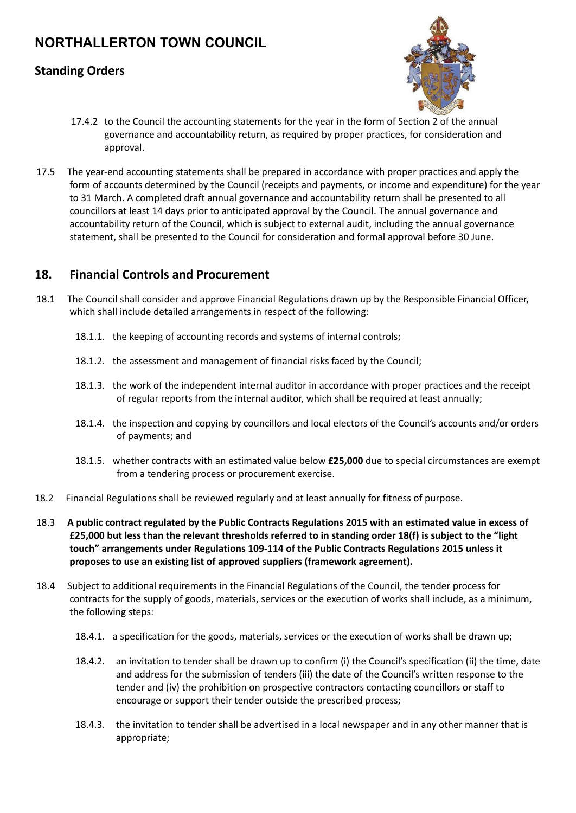## **Standing Orders**



- 17.4.2 to the Council the accounting statements for the year in the form of Section 2 of the annual governance and accountability return, as required by proper practices, for consideration and approval.
- 17.5 The year-end accounting statements shall be prepared in accordance with proper practices and apply the form of accounts determined by the Council (receipts and payments, or income and expenditure) for the year to 31 March. A completed draft annual governance and accountability return shall be presented to all councillors at least 14 days prior to anticipated approval by the Council. The annual governance and accountability return of the Council, which is subject to external audit, including the annual governance statement, shall be presented to the Council for consideration and formal approval before 30 June.

#### **18. Financial Controls and Procurement**

- 18.1 The Council shall consider and approve Financial Regulations drawn up by the Responsible Financial Officer, which shall include detailed arrangements in respect of the following:
	- 18.1.1. the keeping of accounting records and systems of internal controls;
	- 18.1.2. the assessment and management of financial risks faced by the Council;
	- 18.1.3. the work of the independent internal auditor in accordance with proper practices and the receipt of regular reports from the internal auditor, which shall be required at least annually;
	- 18.1.4. the inspection and copying by councillors and local electors of the Council's accounts and/or orders of payments; and
	- 18.1.5. whether contracts with an estimated value below **£25,000** due to special circumstances are exempt from a tendering process or procurement exercise.
- 18.2 Financial Regulations shall be reviewed regularly and at least annually for fitness of purpose.
- 18.3 A public contract regulated by the Public Contracts Regulations 2015 with an estimated value in excess of £25,000 but less than the relevant thresholds referred to in standing order 18(f) is subject to the "light **touch" arrangements under Regulations 109-114 of the Public Contracts Regulations 2015 unless it proposes to use an existing list of approved suppliers (framework agreement).**
- 18.4 Subject to additional requirements in the Financial Regulations of the Council, the tender process for contracts for the supply of goods, materials, services or the execution of works shall include, as a minimum, the following steps:
	- 18.4.1. a specification for the goods, materials, services or the execution of works shall be drawn up;
	- 18.4.2. an invitation to tender shall be drawn up to confirm (i) the Council's specification (ii) the time, date and address for the submission of tenders (iii) the date of the Council's written response to the tender and (iv) the prohibition on prospective contractors contacting councillors or staff to encourage or support their tender outside the prescribed process;
	- 18.4.3. the invitation to tender shall be advertised in a local newspaper and in any other manner that is appropriate;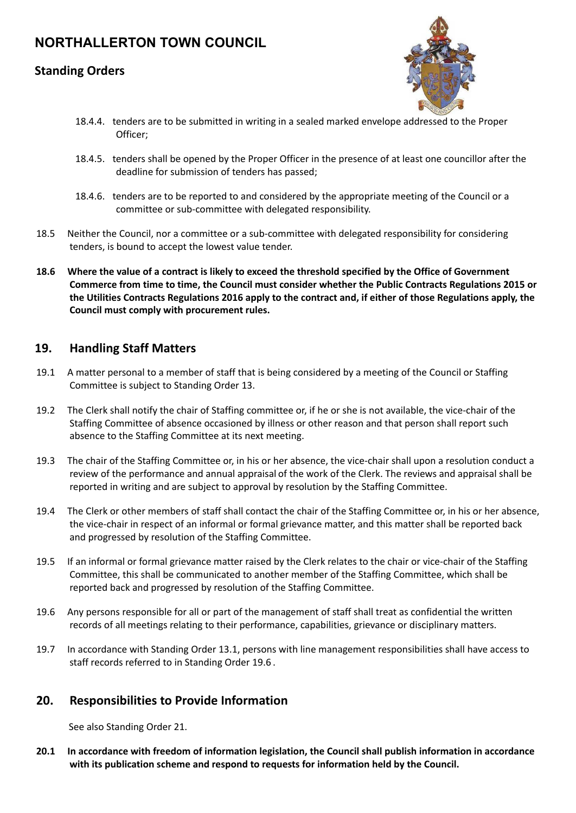## **Standing Orders**



- 18.4.4. tenders are to be submitted in writing in a sealed marked envelope addressed to the Proper Officer;
- 18.4.5. tenders shall be opened by the Proper Officer in the presence of at least one councillor after the deadline for submission of tenders has passed;
- 18.4.6. tenders are to be reported to and considered by the appropriate meeting of the Council or a committee or sub-committee with delegated responsibility.
- 18.5 Neither the Council, nor a committee or a sub-committee with delegated responsibility for considering tenders, is bound to accept the lowest value tender.
- 18.6 Where the value of a contract is likely to exceed the threshold specified by the Office of Government **Commerce from time to time, the Council must consider whether the Public Contracts Regulations 2015 or** the Utilities Contracts Regulations 2016 apply to the contract and, if either of those Regulations apply, the **Council must comply with procurement rules.**

#### **19. Handling Staff Matters**

- 19.1 A matter personal to a member of staff that is being considered by a meeting of the Council or Staffing Committee is subject to Standing Order 13.
- 19.2 The Clerk shall notify the chair of Staffing committee or, if he or she is not available, the vice-chair of the Staffing Committee of absence occasioned by illness or other reason and that person shall report such absence to the Staffing Committee at its next meeting.
- 19.3 The chair of the Staffing Committee or, in his or her absence, the vice-chair shall upon a resolution conduct a review of the performance and annual appraisal of the work of the Clerk. The reviews and appraisal shall be reported in writing and are subject to approval by resolution by the Staffing Committee.
- 19.4 The Clerk or other members of staff shall contact the chair of the Staffing Committee or, in his or her absence, the vice-chair in respect of an informal or formal grievance matter, and this matter shall be reported back and progressed by resolution of the Staffing Committee.
- 19.5 If an informal or formal grievance matter raised by the Clerk relates to the chair or vice-chair of the Staffing Committee, this shall be communicated to another member of the Staffing Committee, which shall be reported back and progressed by resolution of the Staffing Committee.
- 19.6 Any persons responsible for all or part of the management of staff shall treat as confidential the written records of all meetings relating to their performance, capabilities, grievance or disciplinary matters.
- 19.7 In accordance with Standing Order 13.1, persons with line management responsibilities shall have access to staff records referred to in Standing Order 19.6 .

#### **20. Responsibilities to Provide Information**

See also Standing Order 21.

**20.1 In accordance with freedom of information legislation, the Council shall publish information in accordance with its publication scheme and respond to requests for information held by the Council.**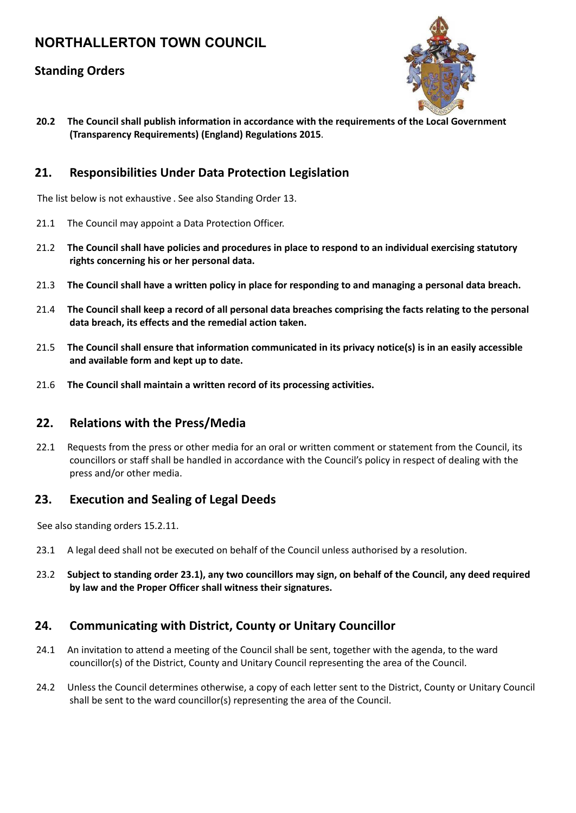## **Standing Orders**



**20.2 The Council shall publish information in accordance with the requirements of the Local Government (Transparency Requirements) (England) Regulations 2015**.

#### **21. Responsibilities Under Data Protection Legislation**

The list below is not exhaustive . See also Standing Order 13.

- 21.1 The Council may appoint a Data Protection Officer.
- 21.2 **The Council shall have policies and procedures in place to respond to an individual exercising statutory rights concerning his or her personal data.**
- 21.3 The Council shall have a written policy in place for responding to and managing a personal data breach.
- 21.4 The Council shall keep a record of all personal data breaches comprising the facts relating to the personal **data breach, its effects and the remedial action taken.**
- 21.5 **The Council shall ensure that information communicated in its privacy notice(s) is in an easily accessible and available form and kept up to date.**
- 21.6 **The Council shall maintain a written record of its processing activities.**

#### **22. Relations with the Press/Media**

22.1 Requests from the press or other media for an oral or written comment or statement from the Council, its councillors or staff shall be handled in accordance with the Council's policy in respect of dealing with the press and/or other media.

#### **23. Execution and Sealing of Legal Deeds**

See also standing orders 15.2.11.

- 23.1 A legal deed shall not be executed on behalf of the Council unless authorised by a resolution.
- 23.2 Subject to standing order 23.1), any two councillors may sign, on behalf of the Council, any deed required **by law and the Proper Officer shall witness their signatures.**

#### **24. Communicating with District, County or Unitary Councillor**

- 24.1 An invitation to attend a meeting of the Council shall be sent, together with the agenda, to the ward councillor(s) of the District, County and Unitary Council representing the area of the Council.
- 24.2 Unless the Council determines otherwise, a copy of each letter sent to the District, County or Unitary Council shall be sent to the ward councillor(s) representing the area of the Council.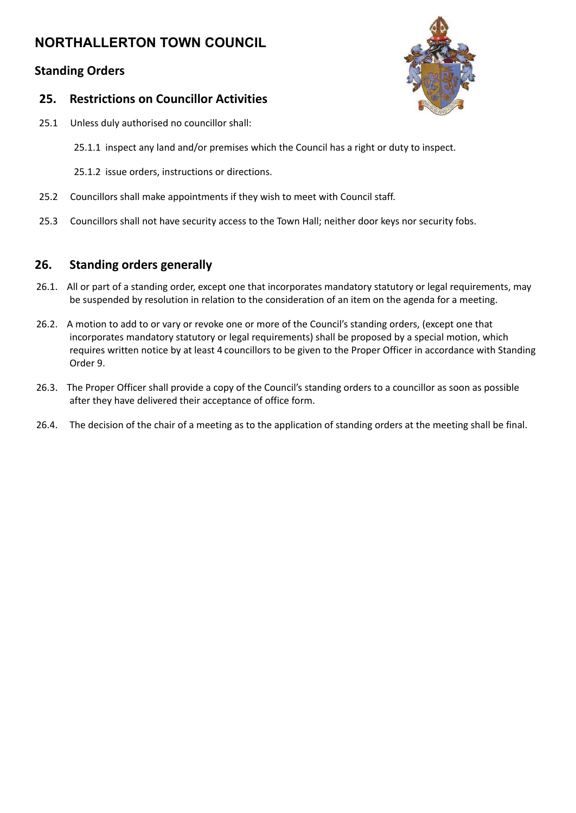## **Standing Orders**

#### **25. Restrictions on Councillor Activities**

- 25.1 Unless duly authorised no councillor shall:
	- 25.1.1 inspect any land and/or premises which the Council has a right or duty to inspect.
	- 25.1.2 issue orders, instructions or directions.
- 25.2 Councillors shall make appointments if they wish to meet with Council staff.
- 25.3 Councillors shall not have security access to the Town Hall; neither door keys nor security fobs.

## **26. Standing orders generally**

- 26.1. All or part of a standing order, except one that incorporates mandatory statutory or legal requirements, may be suspended by resolution in relation to the consideration of an item on the agenda for a meeting.
- 26.2. A motion to add to or vary or revoke one or more of the Council's standing orders, (except one that incorporates mandatory statutory or legal requirements) shall be proposed by a special motion, which requires written notice by at least 4 councillors to be given to the Proper Officer in accordance with Standing Order 9.
- 26.3. The Proper Officer shall provide a copy of the Council's standing orders to a councillor as soon as possible after they have delivered their acceptance of office form.
- 26.4. The decision of the chair of a meeting as to the application of standing orders at the meeting shall be final.

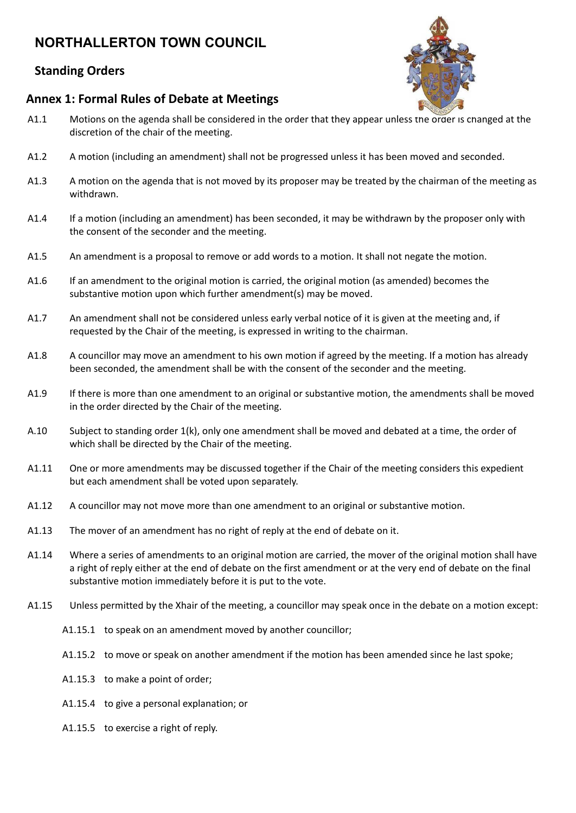## **Standing Orders**

#### **Annex 1: Formal Rules of Debate at Meetings**

- A1.1 Motions on the agenda shall be considered in the order that they appear unless the order is changed at the discretion of the chair of the meeting.
- A1.2 A motion (including an amendment) shall not be progressed unless it has been moved and seconded.
- A1.3 A motion on the agenda that is not moved by its proposer may be treated by the chairman of the meeting as withdrawn.
- A1.4 If a motion (including an amendment) has been seconded, it may be withdrawn by the proposer only with the consent of the seconder and the meeting.
- A1.5 An amendment is a proposal to remove or add words to a motion. It shall not negate the motion.
- A1.6 If an amendment to the original motion is carried, the original motion (as amended) becomes the substantive motion upon which further amendment(s) may be moved.
- A1.7 An amendment shall not be considered unless early verbal notice of it is given at the meeting and, if requested by the Chair of the meeting, is expressed in writing to the chairman.
- A1.8 A councillor may move an amendment to his own motion if agreed by the meeting. If a motion has already been seconded, the amendment shall be with the consent of the seconder and the meeting.
- A1.9 If there is more than one amendment to an original or substantive motion, the amendments shall be moved in the order directed by the Chair of the meeting.
- A.10 Subject to standing order 1(k), only one amendment shall be moved and debated at a time, the order of which shall be directed by the Chair of the meeting.
- A1.11 One or more amendments may be discussed together if the Chair of the meeting considers this expedient but each amendment shall be voted upon separately.
- A1.12 A councillor may not move more than one amendment to an original or substantive motion.
- A1.13 The mover of an amendment has no right of reply at the end of debate on it.
- A1.14 Where a series of amendments to an original motion are carried, the mover of the original motion shall have a right of reply either at the end of debate on the first amendment or at the very end of debate on the final substantive motion immediately before it is put to the vote.
- A1.15 Unless permitted by the Xhair of the meeting, a councillor may speak once in the debate on a motion except:
	- A1.15.1 to speak on an amendment moved by another councillor;
	- A1.15.2 to move or speak on another amendment if the motion has been amended since he last spoke;
	- A1.15.3 to make a point of order;
	- A1.15.4 to give a personal explanation; or
	- A1.15.5 to exercise a right of reply.